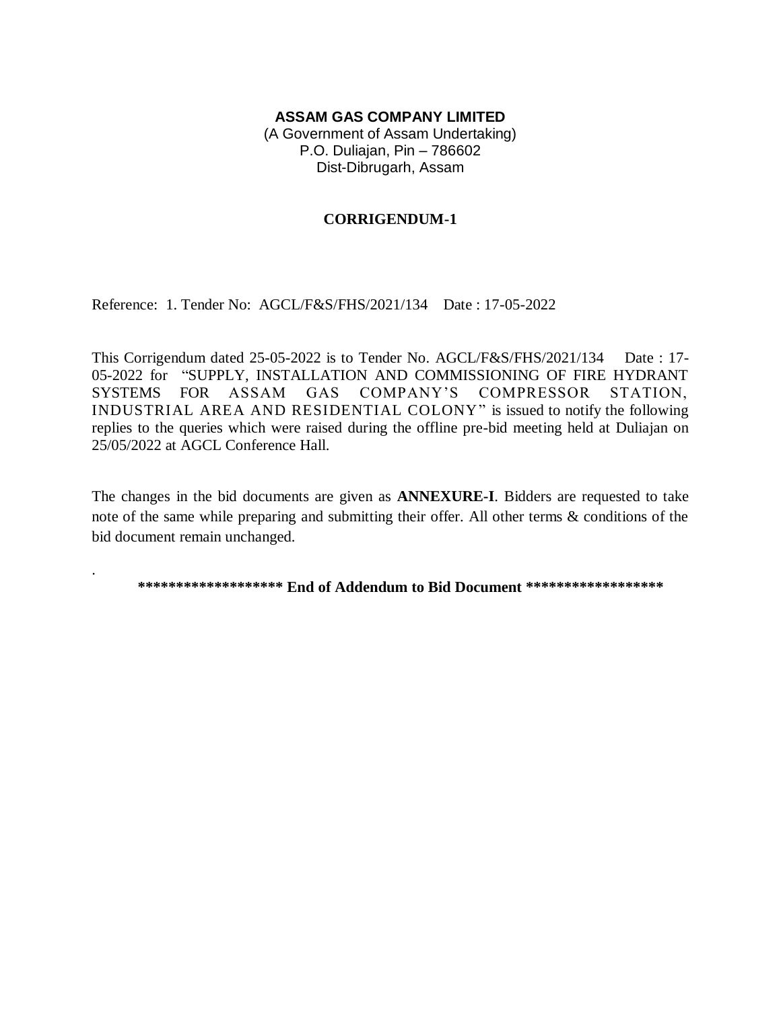## **ASSAM GAS COMPANY LIMITED**

(A Government of Assam Undertaking) P.O. Duliajan, Pin – 786602 Dist-Dibrugarh, Assam

## **CORRIGENDUM-1**

Reference: 1. Tender No: AGCL/F&S/FHS/2021/134 Date : 17-05-2022

.

This Corrigendum dated 25-05-2022 is to Tender No. AGCL/F&S/FHS/2021/134 Date : 17- 05-2022 for "SUPPLY, INSTALLATION AND COMMISSIONING OF FIRE HYDRANT SYSTEMS FOR ASSAM GAS COMPANY'S COMPRESSOR STATION, INDUSTRIAL AREA AND RESIDENTIAL COLONY" is issued to notify the following replies to the queries which were raised during the offline pre-bid meeting held at Duliajan on 25/05/2022 at AGCL Conference Hall.

The changes in the bid documents are given as **ANNEXURE-I**. Bidders are requested to take note of the same while preparing and submitting their offer. All other terms & conditions of the bid document remain unchanged.

**\*\*\*\*\*\*\*\*\*\*\*\*\*\*\*\*\*\*\* End of Addendum to Bid Document \*\*\*\*\*\*\*\*\*\*\*\*\*\*\*\*\*\***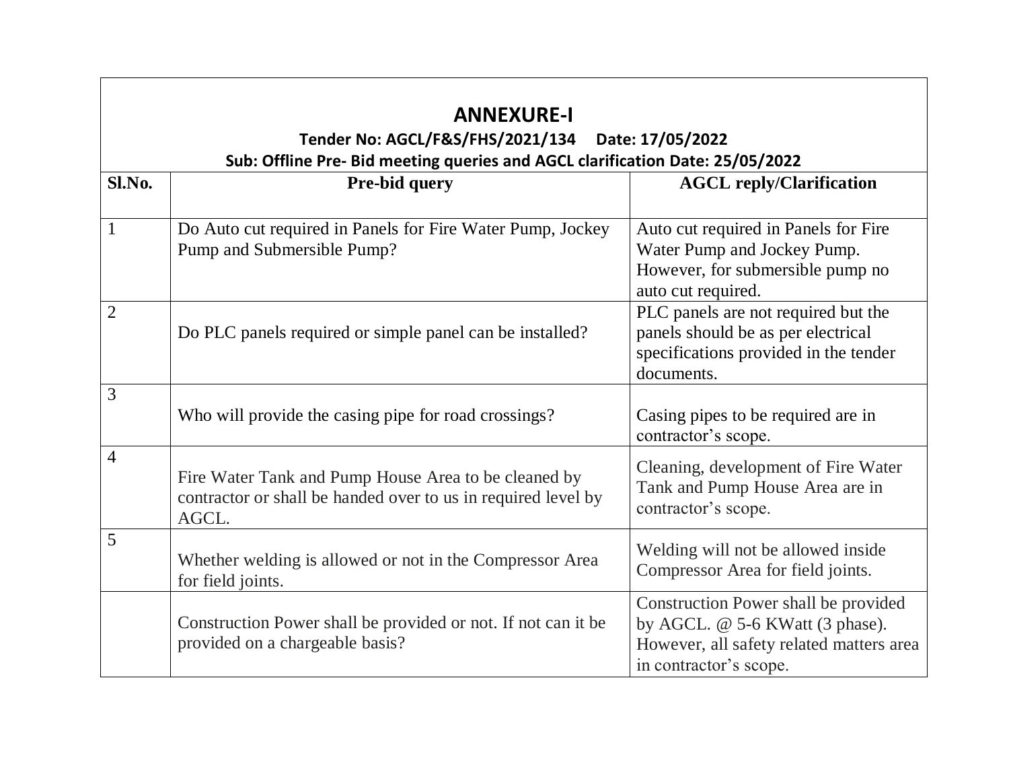| <b>ANNEXURE-I</b><br>Tender No: AGCL/F&S/FHS/2021/134<br>Date: 17/05/2022<br>Sub: Offline Pre- Bid meeting queries and AGCL clarification Date: 25/05/2022 |                                                                                                                                |                                                                                                                                               |  |  |
|------------------------------------------------------------------------------------------------------------------------------------------------------------|--------------------------------------------------------------------------------------------------------------------------------|-----------------------------------------------------------------------------------------------------------------------------------------------|--|--|
| Sl.No.                                                                                                                                                     | Pre-bid query                                                                                                                  | <b>AGCL reply/Clarification</b>                                                                                                               |  |  |
| $\mathbf{1}$                                                                                                                                               | Do Auto cut required in Panels for Fire Water Pump, Jockey<br>Pump and Submersible Pump?                                       | Auto cut required in Panels for Fire<br>Water Pump and Jockey Pump.<br>However, for submersible pump no<br>auto cut required.                 |  |  |
| $\overline{2}$                                                                                                                                             | Do PLC panels required or simple panel can be installed?                                                                       | PLC panels are not required but the<br>panels should be as per electrical<br>specifications provided in the tender<br>documents.              |  |  |
| 3                                                                                                                                                          | Who will provide the casing pipe for road crossings?                                                                           | Casing pipes to be required are in<br>contractor's scope.                                                                                     |  |  |
| 4                                                                                                                                                          | Fire Water Tank and Pump House Area to be cleaned by<br>contractor or shall be handed over to us in required level by<br>AGCL. | Cleaning, development of Fire Water<br>Tank and Pump House Area are in<br>contractor's scope.                                                 |  |  |
| 5                                                                                                                                                          | Whether welding is allowed or not in the Compressor Area<br>for field joints.                                                  | Welding will not be allowed inside<br>Compressor Area for field joints.                                                                       |  |  |
|                                                                                                                                                            | Construction Power shall be provided or not. If not can it be<br>provided on a chargeable basis?                               | Construction Power shall be provided<br>by AGCL. @ 5-6 KWatt (3 phase).<br>However, all safety related matters area<br>in contractor's scope. |  |  |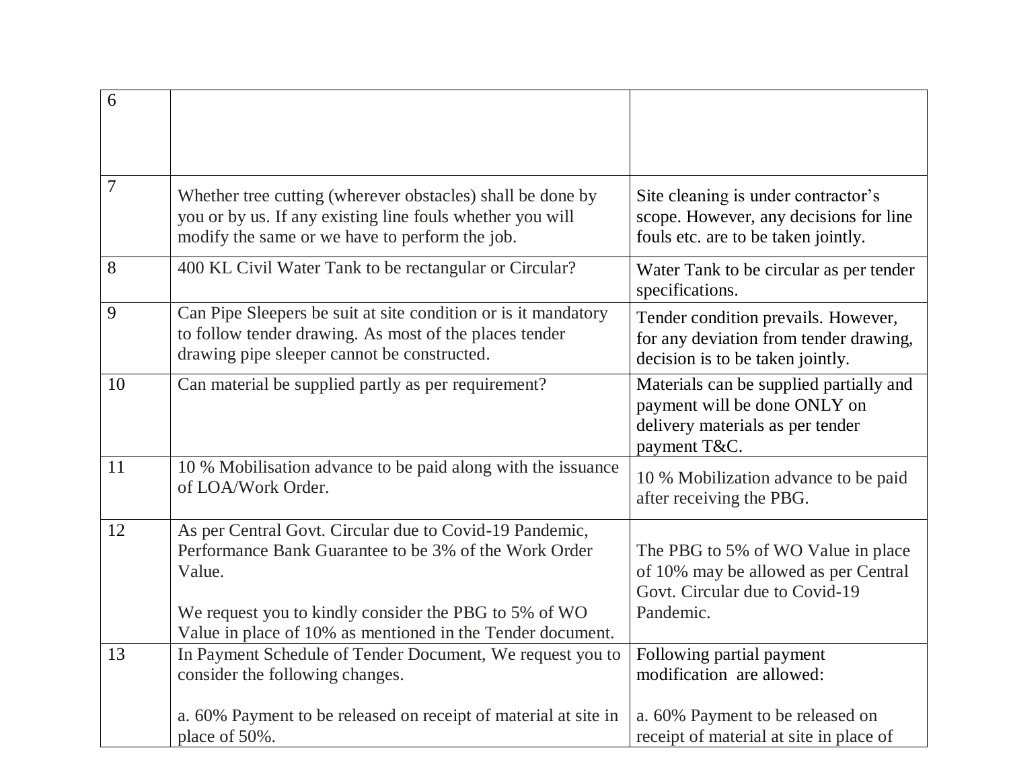| 6      |                                                                                                                                                                                                                                                   |                                                                                                                             |
|--------|---------------------------------------------------------------------------------------------------------------------------------------------------------------------------------------------------------------------------------------------------|-----------------------------------------------------------------------------------------------------------------------------|
| $\tau$ | Whether tree cutting (wherever obstacles) shall be done by<br>you or by us. If any existing line fouls whether you will<br>modify the same or we have to perform the job.                                                                         | Site cleaning is under contractor's<br>scope. However, any decisions for line<br>fouls etc. are to be taken jointly.        |
| 8      | 400 KL Civil Water Tank to be rectangular or Circular?                                                                                                                                                                                            | Water Tank to be circular as per tender<br>specifications.                                                                  |
| 9      | Can Pipe Sleepers be suit at site condition or is it mandatory<br>to follow tender drawing. As most of the places tender<br>drawing pipe sleeper cannot be constructed.                                                                           | Tender condition prevails. However,<br>for any deviation from tender drawing,<br>decision is to be taken jointly.           |
| 10     | Can material be supplied partly as per requirement?                                                                                                                                                                                               | Materials can be supplied partially and<br>payment will be done ONLY on<br>delivery materials as per tender<br>payment T&C. |
| 11     | 10 % Mobilisation advance to be paid along with the issuance<br>of LOA/Work Order.                                                                                                                                                                | 10 % Mobilization advance to be paid<br>after receiving the PBG.                                                            |
| 12     | As per Central Govt. Circular due to Covid-19 Pandemic,<br>Performance Bank Guarantee to be 3% of the Work Order<br>Value.<br>We request you to kindly consider the PBG to 5% of WO<br>Value in place of 10% as mentioned in the Tender document. | The PBG to 5% of WO Value in place<br>of 10% may be allowed as per Central<br>Govt. Circular due to Covid-19<br>Pandemic.   |
| 13     | In Payment Schedule of Tender Document, We request you to<br>consider the following changes.                                                                                                                                                      | Following partial payment<br>modification are allowed:                                                                      |
|        | a. 60% Payment to be released on receipt of material at site in<br>place of 50%.                                                                                                                                                                  | a. 60% Payment to be released on<br>receipt of material at site in place of                                                 |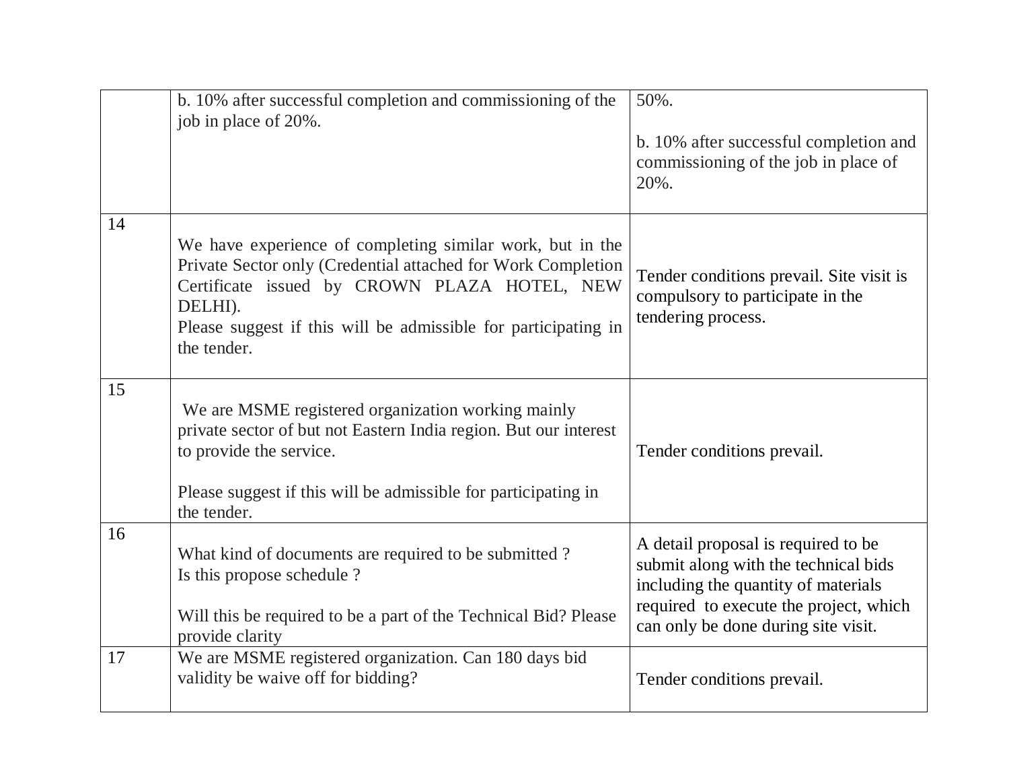|    | b. 10% after successful completion and commissioning of the<br>job in place of 20%.                                                                                                                                                                                   | 50%.<br>b. 10% after successful completion and<br>commissioning of the job in place of<br>20%.                                                                                                      |
|----|-----------------------------------------------------------------------------------------------------------------------------------------------------------------------------------------------------------------------------------------------------------------------|-----------------------------------------------------------------------------------------------------------------------------------------------------------------------------------------------------|
| 14 | We have experience of completing similar work, but in the<br>Private Sector only (Credential attached for Work Completion<br>Certificate issued by CROWN PLAZA HOTEL, NEW<br>DELHI).<br>Please suggest if this will be admissible for participating in<br>the tender. | Tender conditions prevail. Site visit is<br>compulsory to participate in the<br>tendering process.                                                                                                  |
| 15 | We are MSME registered organization working mainly<br>private sector of but not Eastern India region. But our interest<br>to provide the service.<br>Please suggest if this will be admissible for participating in<br>the tender.                                    | Tender conditions prevail.                                                                                                                                                                          |
| 16 | What kind of documents are required to be submitted?<br>Is this propose schedule ?<br>Will this be required to be a part of the Technical Bid? Please<br>provide clarity                                                                                              | A detail proposal is required to be<br>submit along with the technical bids<br>including the quantity of materials<br>required to execute the project, which<br>can only be done during site visit. |
| 17 | We are MSME registered organization. Can 180 days bid<br>validity be waive off for bidding?                                                                                                                                                                           | Tender conditions prevail.                                                                                                                                                                          |